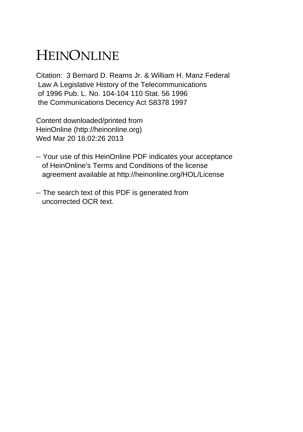## HEINONLINE

Citation: 3 Bernard D. Reams Jr. & William H. Manz Federal Law A Legislative History of the Telecommunications of 1996 Pub. L. No. 104-104 110 Stat. 56 1996 the Communications Decency Act S8378 1997

Content downloaded/printed from HeinOnline (http://heinonline.org) Wed Mar 20 16:02:26 2013

- -- Your use of this HeinOnline PDF indicates your acceptance of HeinOnline's Terms and Conditions of the license agreement available at http://heinonline.org/HOL/License
- -- The search text of this PDF is generated from uncorrected OCR text.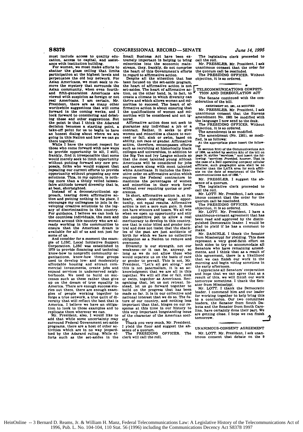must include access to quality edu-<br>cation, access to capital, and assist-<br>ance with institution building.<br>For women, we must make efforts to<br>shatter the glass ceiling that limits

participation at the highest levels and perpetuates the old boy network. For Asian Americans, we must seek to re-move the mystery that surrounds the Asian community, when even fourthand flifth-generation Americans are viewed with suspicion **as** foreign or not real Americars. **I** am certain. Mr. President. there are as many other worthwhile suggestions that will come forward in the coming weeks, and **I** look forward to considering and debating these and other suggestions. *But* the point **is** that **I** think the Adarand decision becomes a starting point, a take-off point for **us** to begin to have an honest dialog about where we are going in this Nation and how we can go there together. While **I** have the utmost respect for

those who come forward with new ways to provide opportunity to all. **I** still, frankly, find it irresponsible that some would merely seek to limit opportunity without putting forward any new proposales, folks who would suggest that repealing our current efforts to provide opportunity without proposing any new solutions. This, in my opinion, **is** nothfaire attitude toward diversity that is, at best, shortsighted.<br>**Instead of a deconstructionist ap-**

proach, tearing down affirmative ac- tion and putting nothing in its place. **<sup>I</sup>** encourage my colleagues to join in de- veloping creative solutions to the legacy of discrimination in this country. For guidance, I believe we can look to the countless individuals, the men and the countless individuals, the men and women around this country who **are al**ready working in the communities to ensure that the American dream is available for all of us and not just for

some of us.<br>And consider for a moment the exam-<br>ple of LISC, Local Initiative Support<br>Corporation. LISC was established in<br>1979 to provide financing and technical know-how to nonprofit community or-<br>ganizations, know-how these groups<br>used to develop low- and moderately affordable housing and attract **com-** mercial investments, create jobs and expand services in underserved neigh-<br>borhoods. We need to build on sucborhoods. We need to build on suc- cesses such as these rather than give **up** on the dream of true equality In America. There are enough success sto-ries out there, there are enough examples of people working together to forge a true network, a true quilt of di-<br>versity that will reflect the best that is<br>America. I helieve we have an obliga-America. I believe we have an obliga- tion to look to those examples and to replicate them wherever we can. Mr. President. also, **I** would like to

**add** that while some uncertainty may surround Federal Government set-aside<br>programs, there are a host of other ac-<br>tivities which are in no way jeopard-<br>ized by the Adarand ruling. While ef-<br>forts such as the set-asides in the tremely important in helping to bring call the roll.<br>minorities into the economic main-Mr. PRESSLER. Mr. President, I ask minorities into the economic main- Mr. PRESSLER. Mr. President, **I** ask stream, they, frankly, do not comprise unanimous consent that the order for stream, they, frankly, do not comprise<br>the heart of this Government's efforts<br>in regard to affirmative action.

the heart of affirmative action is not set-aside program,<br>the heart of affirmative action is not set-asides. The heart of affirmative acc- **TELECOMMUNICATIONS COMPETI-**<br>tion on the other hand is in fact, to **TION AND DEREG** tion, on the other hand, is, in fact, to create a climate in which diversity can thrive and which allows women and mi-<br>norities to succeed. The heart of af-<br>firmative action is about ensuring that MR PRESSLED Mr. President. I ask<br>firmative action is about ensuring that Mr. PRESSLED Mr. President. I ask the qualifications of women and **mi-** unanimous consent that the Stevens norities will be considered and not ig- amendment No. **1301** be modified with

guarantee any individual a job or a<br>contract. Rather, it seeks to give objection, it is so ordered. contract. Rather. it seeks to give The amendment **Is** so modified. women and minorities a chance to **suc-** The amendment (No. **1301).** as modiceed or fall, sink or swim, based on<br>ability, not race or gender. Affirmative At the appropriate place insert the follow-<br>action, therefore, encompasses efforts  $\lim_{\text{Lag}}$ <br>such as recruiting at historically black<br>in secti action, inerciting at historically black<br>colleges and universities, in addition to of 1894, as added by section 8(b) of the bill on<br>colleges and universities, in addition to of 1934, as added by section 8(b) of the bill on the Big Ten and Ivy League schools so page 14, strike "services." and insert the fol-<br>that the most talented young African lowing: "services." Provided, however, That in<br>Americans will be considered for jobs the case of a utive order on affirmative action which communications Act of 1996."<br>requires the Federal contractors to Mr. PRESSLER. I suggest the ab-<br>maximize the percentages of women and sence of a quorum. maximize the percentages of women<br>and minorities in their work force of a quorum.<br>The legislative clerk proceeded to without ever requiring quotas or pref-<br>
call the roll. erences.

heart, about ensuring equal oppor- imous consent that the order for the tunity, not equal results. Affirmative quorum call be rescinded.<br>tunity, not equal results. Affirmative quorum call be rescinded.<br>action is not a zero tunity, not equal results. Affirmative **The PRESIDING OFFICER**. Without<br>action is not a zero sum gain, it does The PRESIDING OFFICER. Without<br>not have winners and losers. We all win  $\frac{M_{\text{D}}}{M_{\text{L}}}$ . LOTT. Mr. Presiden one that is color blind and gender neu- **guished Democratic leader. Iwould be** tral and does not insist that the shack- glad to make. **les** of the past are just accidents of make. birth for which we have no collective Mr. **DASCHLE. I** thank the Senator

weakness-or it can **be.** anyway, **so** Senators who have remaining amendweakness—or it can be, anyway, so ments, and I think that as a result of the same do not allow those who ments, and I think that as a result of would separate us on the basis of race this agreement, there is a likelihood o president. "Let's all get along," and morning and begin voting sometime in President, "Let's all get along," and *the early afternoon.*<br>this is not paternalism, it is an ac- **be** early afternoon. knowledgment that we are all in this together. We will all rise or fall, sink or swim, together as Americans. Rec-<br>ognizing that, let us not retreat. Inognizing that, let us not returned. Mr. LOTT. I thank the Democratic<br>build on the progress that has been Mr. LOTT. I thank the Democratic<br>build on the progress that has been made so far. It is in our collective and leader, I commend him and our leader national interest that we **do** so. **The** fu- for working together to help bring this national interest that we do so. The fu-<br>ture of our country, and nothing less to a conclusion. Our two committee<br>ture of our country, and nothing less to a conclusion. Our two committees incoming that than that, hinges on our re- leaders, the Senator from South Da-<br>important than that, hinges on our re- leaders, the Senator from South Caro-<br>spanse at this time in our history to kota and the Senator from So sponse at this time in our history to this very important longstanding issue of the character of the American soci-<br> **Information** 

ety.<br>Thank you very much, Mr. President.<br>I yield the floor and suggest the ab-<br>I yield the floor and suggest the ab-

Small Business Act have been **ex-** The legislative clerk proceeded to

in regard to affirmative action. The PRESIDING OFFICER. Without Despite **all** the attention that has objection, it **is** so ordered. been focused on the set-aside program,

The Senate continued with the consideration of the bill.

nored. the language **I membership of the language I how send to the desk.** Affirmative action does not seek to **The PRESIDING OFFICER.** Without

In short, affirmative action is, at its Mr. **LOTT.** Mr. President, I ask unan-<br>In short, about, counter, cure, cure, imous consent that the order for the

orther when we have no conceed from Mississippi for yielding. This doesn't a very good-faith effort on<br>overcome, include the strength and the present a very good-faith effort on<br>Diversity is our strength, not our both side

and hope that we can agree that as a result of this, we will finish our work tomorrow sometime. I thank the Sen-<br>ator from Mississippi.

lina, have certainly done their part. We are getting close. I hope we can finish

I yield the floor and suggest the ab-<br>sence of a quorum.<br>The PRESIDING OFFICER. The Mr. LOTT. Mr. President. I ask unan-<br>clerk will call the roll.<br>imous consent that debate on the 9 imous consent that debate on the 9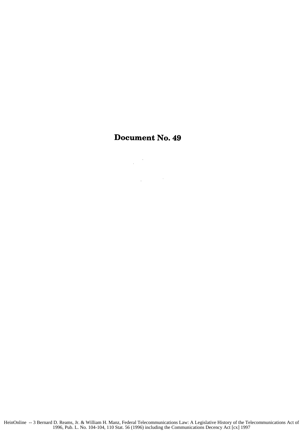## Document No. 49

 $\label{eq:2.1} \frac{1}{\sqrt{2\pi}}\int_{\mathbb{R}^{2}}\frac{1}{\sqrt{2\pi}}\int_{\mathbb{R}^{2}}\frac{1}{\sqrt{2\pi}}\int_{\mathbb{R}^{2}}\frac{1}{\sqrt{2\pi}}\int_{\mathbb{R}^{2}}\frac{1}{\sqrt{2\pi}}\int_{\mathbb{R}^{2}}\frac{1}{\sqrt{2\pi}}\frac{1}{\sqrt{2\pi}}\frac{1}{\sqrt{2\pi}}\frac{1}{\sqrt{2\pi}}\frac{1}{\sqrt{2\pi}}\frac{1}{\sqrt{2\pi}}\frac{1}{\sqrt{2\pi}}\frac{1}{\sqrt$ 

 $\label{eq:2.1} \frac{1}{\sqrt{2\pi}}\frac{1}{\sqrt{2\pi}}\frac{1}{\sqrt{2\pi}}\frac{1}{\sqrt{2\pi}}\frac{1}{\sqrt{2\pi}}\frac{1}{\sqrt{2\pi}}\frac{1}{\sqrt{2\pi}}\frac{1}{\sqrt{2\pi}}\frac{1}{\sqrt{2\pi}}\frac{1}{\sqrt{2\pi}}\frac{1}{\sqrt{2\pi}}\frac{1}{\sqrt{2\pi}}\frac{1}{\sqrt{2\pi}}\frac{1}{\sqrt{2\pi}}\frac{1}{\sqrt{2\pi}}\frac{1}{\sqrt{2\pi}}\frac{1}{\sqrt{2\pi}}\frac{1}{\sqrt$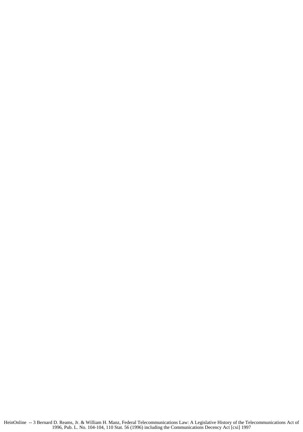HeinOnline -- 3 Bernard D. Reams, Jr. & William H. Manz, Federal Telecommunications Law: A Legislative History of the Telecommunications Act of 1996, Pub. L. No. 104-104, 110 Stat. 56 (1996) including the Communications Decency Act [cxi] 1997